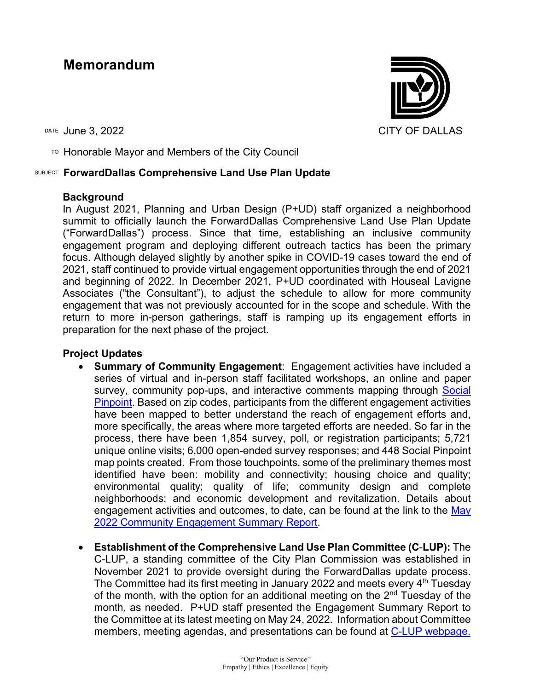# **Memorandum**

 $T$ <sup>O</sup> Honorable Mayor and Members of the City Council

# SUBJECT **ForwardDallas Comprehensive Land Use Plan Update**

# **Background**

In August 2021, Planning and Urban Design (P+UD) staff organized a neighborhood summit to officially launch the ForwardDallas Comprehensive Land Use Plan Update ("ForwardDallas") process. Since that time, establishing an inclusive community engagement program and deploying different outreach tactics has been the primary focus. Although delayed slightly by another spike in COVID-19 cases toward the end of 2021, staff continued to provide virtual engagement opportunities through the end of 2021 and beginning of 2022. In December 2021, P+UD coordinated with Houseal Lavigne Associates ("the Consultant"), to adjust the schedule to allow for more community engagement that was not previously accounted for in the scope and schedule. With the return to more in-person gatherings, staff is ramping up its engagement efforts in preparation for the next phase of the project.

### **Project Updates**

- **Summary of Community Engagement**: Engagement activities have included a series of virtual and in-person staff facilitated workshops, an online and paper survey, community pop-ups, and interactive comments mapping through [Social](https://dallascityhall.mysocialpinpoint.com/mapping#/) [Pinpoint.](https://dallascityhall.mysocialpinpoint.com/mapping#/) Based on zip codes, participants from the different engagement activities have been mapped to better understand the reach of engagement efforts and, more specifically, the areas where more targeted efforts are needed. So far in the process, there have been 1,854 survey, poll, or registration participants; 5,721 unique online visits; 6,000 open-ended survey responses; and 448 Social Pinpoint map points created. From those touchpoints, some of the preliminary themes most identified have been: mobility and connectivity; housing choice and quality; environmental quality; quality of life; community design and complete neighborhoods; and economic development and revitalization. Details about engagement activities and outcomes, to date, can be found at the link to the [May](https://dallascityhall.com/departments/pnv/Agenda%20and%20Minutes%20CLUP/FD%20Engagement%20Report_05242022_Reduced.pdf) [2022 Community Engagement Summary Report.](https://dallascityhall.com/departments/pnv/Agenda%20and%20Minutes%20CLUP/FD%20Engagement%20Report_05242022_Reduced.pdf)
- **Establishment of the Comprehensive Land Use Plan Committee (C**-**LUP):** The C-LUP, a standing committee of the City Plan Commission was established in November 2021 to provide oversight during the ForwardDallas update process. The Committee had its first meeting in January 2022 and meets every  $4<sup>th</sup>$  Tuesday of the month, with the option for an additional meeting on the  $2<sup>nd</sup>$  Tuesday of the month, as needed. P+UD staff presented the Engagement Summary Report to the Committee at its latest meeting on May 24, 2022. Information about Committee members, meeting agendas, and presentations can be found at [C-LUP webpage.](https://dallascityhall.com/departments/pnv/Pages/Land-Use-Committee.aspx)

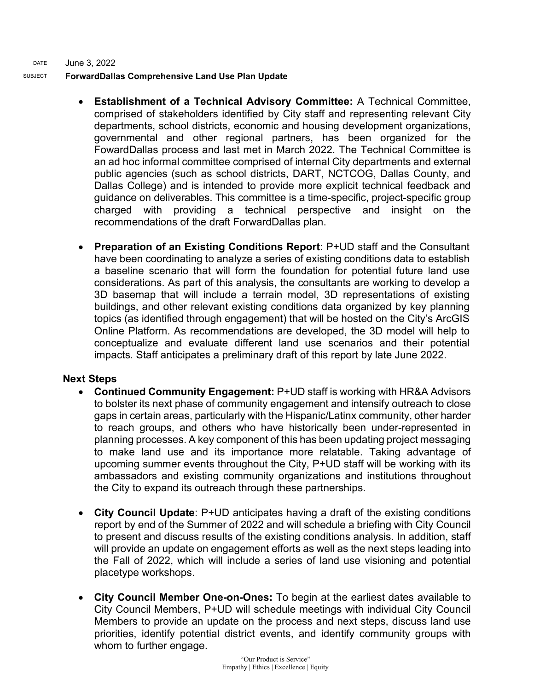DATE June 3, 2022

#### SUBJECT **ForwardDallas Comprehensive Land Use Plan Update**

- **Establishment of a Technical Advisory Committee:** A Technical Committee, comprised of stakeholders identified by City staff and representing relevant City departments, school districts, economic and housing development organizations, governmental and other regional partners, has been organized for the FowardDallas process and last met in March 2022. The Technical Committee is an ad hoc informal committee comprised of internal City departments and external public agencies (such as school districts, DART, NCTCOG, Dallas County, and Dallas College) and is intended to provide more explicit technical feedback and guidance on deliverables. This committee is a time-specific, project-specific group charged with providing a technical perspective and insight on the recommendations of the draft ForwardDallas plan.
- **Preparation of an Existing Conditions Report**: P+UD staff and the Consultant have been coordinating to analyze a series of existing conditions data to establish a baseline scenario that will form the foundation for potential future land use considerations. As part of this analysis, the consultants are working to develop a 3D basemap that will include a terrain model, 3D representations of existing buildings, and other relevant existing conditions data organized by key planning topics (as identified through engagement) that will be hosted on the City's ArcGIS Online Platform. As recommendations are developed, the 3D model will help to conceptualize and evaluate different land use scenarios and their potential impacts. Staff anticipates a preliminary draft of this report by late June 2022.

### **Next Steps**

- **Continued Community Engagement:** P+UD staff is working with HR&A Advisors to bolster its next phase of community engagement and intensify outreach to close gaps in certain areas, particularly with the Hispanic/Latinx community, other harder to reach groups, and others who have historically been under-represented in planning processes. A key component of this has been updating project messaging to make land use and its importance more relatable. Taking advantage of upcoming summer events throughout the City, P+UD staff will be working with its ambassadors and existing community organizations and institutions throughout the City to expand its outreach through these partnerships.
- **City Council Update**: P+UD anticipates having a draft of the existing conditions report by end of the Summer of 2022 and will schedule a briefing with City Council to present and discuss results of the existing conditions analysis. In addition, staff will provide an update on engagement efforts as well as the next steps leading into the Fall of 2022, which will include a series of land use visioning and potential placetype workshops.
- **City Council Member One-on-Ones:** To begin at the earliest dates available to City Council Members, P+UD will schedule meetings with individual City Council Members to provide an update on the process and next steps, discuss land use priorities, identify potential district events, and identify community groups with whom to further engage.